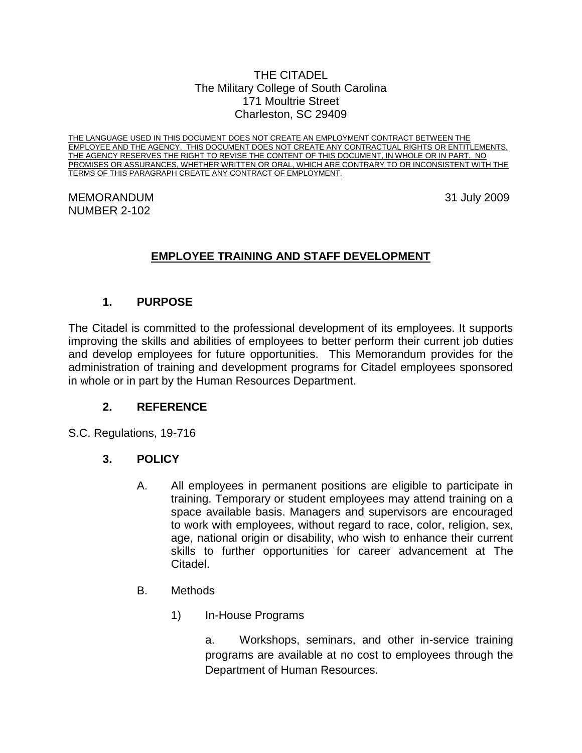#### THE CITADEL The Military College of South Carolina 171 Moultrie Street Charleston, SC 29409

THE LANGUAGE USED IN THIS DOCUMENT DOES NOT CREATE AN EMPLOYMENT CONTRACT BETWEEN THE EMPLOYEE AND THE AGENCY. THIS DOCUMENT DOES NOT CREATE ANY CONTRACTUAL RIGHTS OR ENTITLEMENTS. THE AGENCY RESERVES THE RIGHT TO REVISE THE CONTENT OF THIS DOCUMENT, IN WHOLE OR IN PART. NO PROMISES OR ASSURANCES, WHETHER WRITTEN OR ORAL, WHICH ARE CONTRARY TO OR INCONSISTENT WITH THE TERMS OF THIS PARAGRAPH CREATE ANY CONTRACT OF EMPLOYMENT.

#### MEMORANDUM 31 July 2009 NUMBER 2-102

# **EMPLOYEE TRAINING AND STAFF DEVELOPMENT**

### **1. PURPOSE**

The Citadel is committed to the professional development of its employees. It supports improving the skills and abilities of employees to better perform their current job duties and develop employees for future opportunities. This Memorandum provides for the administration of training and development programs for Citadel employees sponsored in whole or in part by the Human Resources Department.

### **2. REFERENCE**

S.C. Regulations, 19-716

### **3. POLICY**

- A. All employees in permanent positions are eligible to participate in training. Temporary or student employees may attend training on a space available basis. Managers and supervisors are encouraged to work with employees, without regard to race, color, religion, sex, age, national origin or disability, who wish to enhance their current skills to further opportunities for career advancement at The Citadel.
- B. Methods
	- 1) In-House Programs

a. Workshops, seminars, and other in-service training programs are available at no cost to employees through the Department of Human Resources.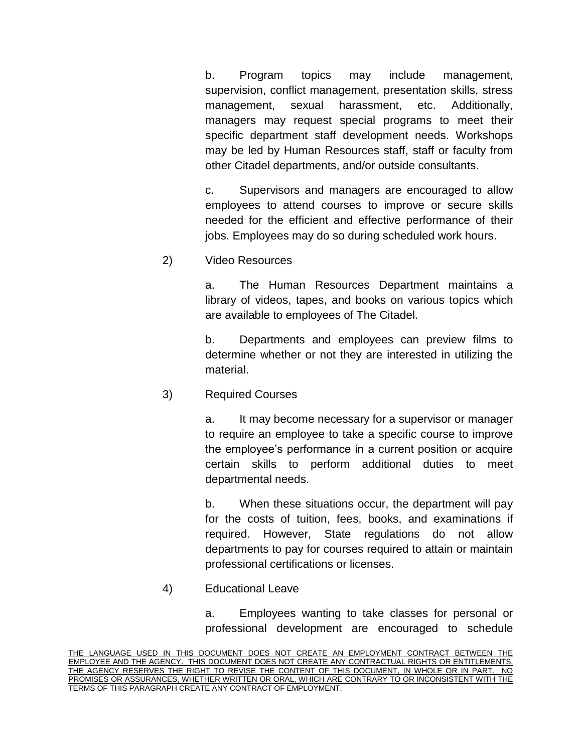b. Program topics may include management, supervision, conflict management, presentation skills, stress management, sexual harassment, etc. Additionally, managers may request special programs to meet their specific department staff development needs. Workshops may be led by Human Resources staff, staff or faculty from other Citadel departments, and/or outside consultants.

c. Supervisors and managers are encouraged to allow employees to attend courses to improve or secure skills needed for the efficient and effective performance of their jobs. Employees may do so during scheduled work hours.

2) Video Resources

a. The Human Resources Department maintains a library of videos, tapes, and books on various topics which are available to employees of The Citadel.

b. Departments and employees can preview films to determine whether or not they are interested in utilizing the material.

3) Required Courses

a. It may become necessary for a supervisor or manager to require an employee to take a specific course to improve the employee's performance in a current position or acquire certain skills to perform additional duties to meet departmental needs.

b. When these situations occur, the department will pay for the costs of tuition, fees, books, and examinations if required. However, State regulations do not allow departments to pay for courses required to attain or maintain professional certifications or licenses.

4) Educational Leave

a. Employees wanting to take classes for personal or professional development are encouraged to schedule

THE LANGUAGE USED IN THIS DOCUMENT DOES NOT CREATE AN EMPLOYMENT CONTRACT BETWEEN THE EMPLOYEE AND THE AGENCY. THIS DOCUMENT DOES NOT CREATE ANY CONTRACTUAL RIGHTS OR ENTITLEMENTS. THE AGENCY RESERVES THE RIGHT TO REVISE THE CONTENT OF THIS DOCUMENT, IN WHOLE OR IN PART. NO PROMISES OR ASSURANCES, WHETHER WRITTEN OR ORAL, WHICH ARE CONTRARY TO OR INCONSISTENT WITH THE TERMS OF THIS PARAGRAPH CREATE ANY CONTRACT OF EMPLOYMENT.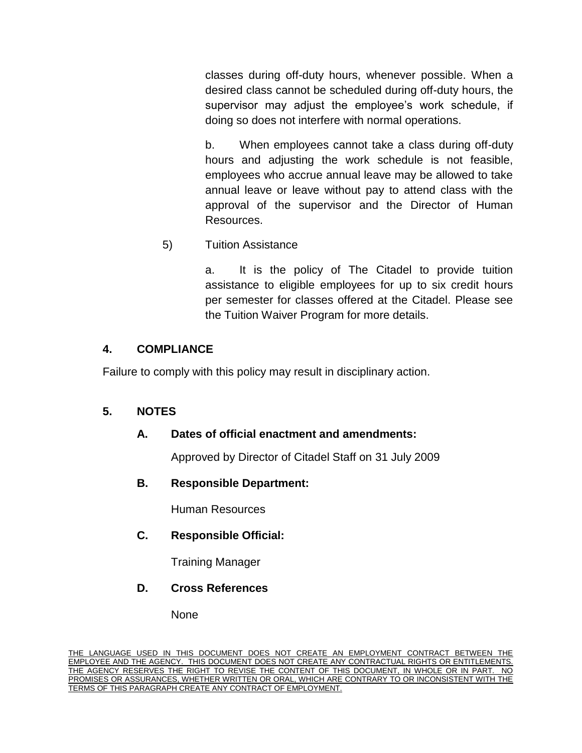classes during off-duty hours, whenever possible. When a desired class cannot be scheduled during off-duty hours, the supervisor may adjust the employee's work schedule, if doing so does not interfere with normal operations.

b. When employees cannot take a class during off-duty hours and adjusting the work schedule is not feasible, employees who accrue annual leave may be allowed to take annual leave or leave without pay to attend class with the approval of the supervisor and the Director of Human Resources.

5) Tuition Assistance

a. It is the policy of The Citadel to provide tuition assistance to eligible employees for up to six credit hours per semester for classes offered at the Citadel. Please see the Tuition Waiver Program for more details.

### **4. COMPLIANCE**

Failure to comply with this policy may result in disciplinary action.

## **5. NOTES**

## **A. Dates of official enactment and amendments:**

Approved by Director of Citadel Staff on 31 July 2009

## **B. Responsible Department:**

Human Resources

## **C. Responsible Official:**

Training Manager

### **D. Cross References**

None